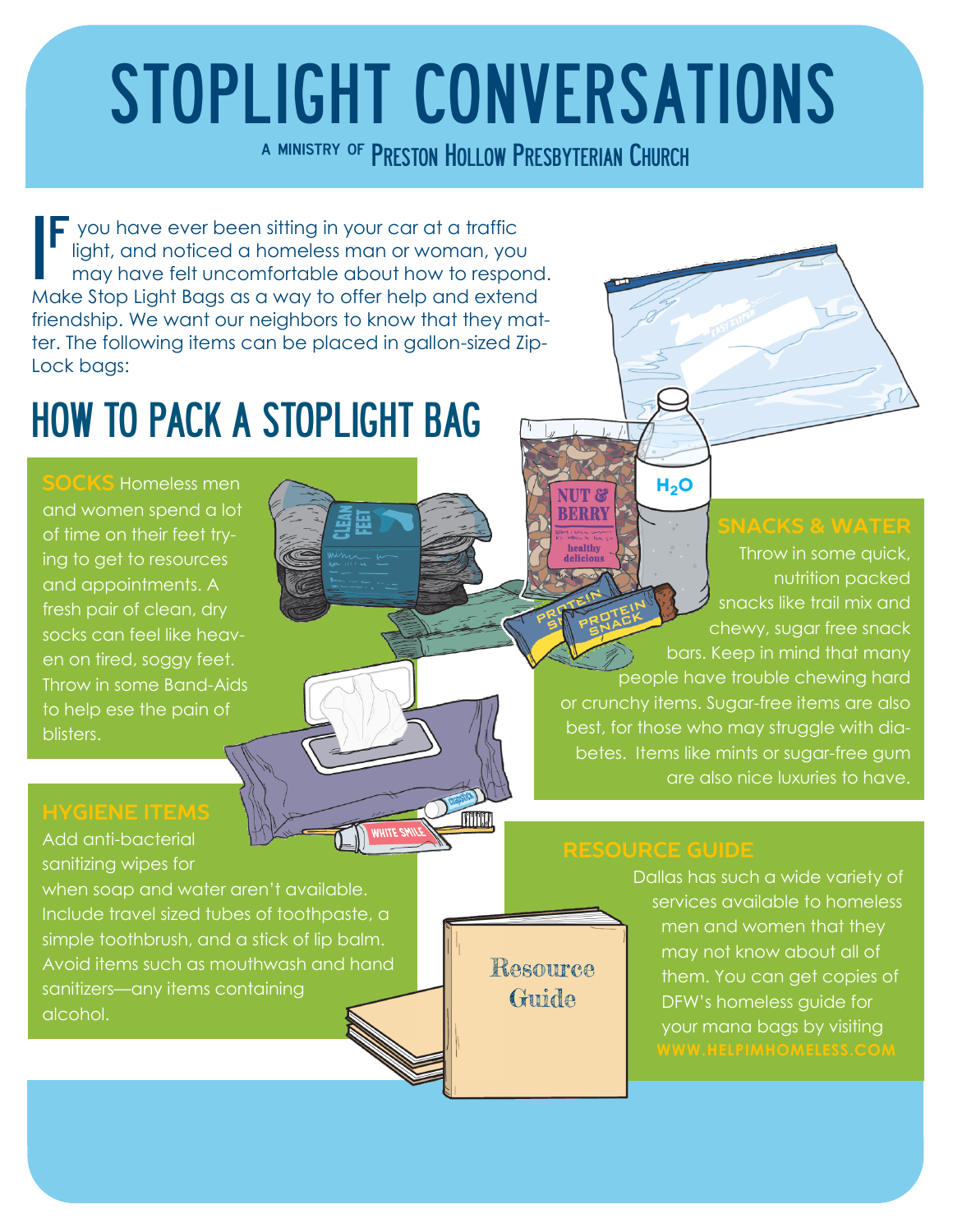# STOPLIGHT CONVERSATIONS

a ministry of PRESTON HOLLOW PRESBYTERIAN CHURCH

If you have ever been sitting in your car at a traffic<br>light, and noticed a homeless man or woman, you<br>may have felt uncomfortable about how to respo light, and noticed a homeless man or woman, you may have felt uncomfortable about how to respond. Make Stop Light Bags as a way to offer help and extend friendship. We want our neighbors to know that they matter. The following items can be placed in gallon-sized Zip-Lock bags:

## HOW TO PACK A STOPLIGHT BAG

**SOCKS** Homeless men and women spend a lot of time on their feet trying to get to resources and appointments. A fresh pair of clean, dry socks can feel like heaven on tired, soggy feet. Throw in some Band-Aids to help ese the pain of blisters.

Add anti-bacterial sanitizing wipes for

when soap and water aren't available. Include travel sized tubes of toothpaste, a simple toothbrush, and a stick of lip balm. Avoid items such as mouthwash and hand sanitizers—any items containing alcohol.

Throw in some quick, nutrition packed snacks like trail mix and chewy, sugar free snack bars. Keep in mind that many people have trouble chewing hard or crunchy items. Sugar-free items are also best, for those who may struggle with diabetes. Items like mints or sugar-free gum are also nice luxuries to have.

### **RESOURCE GUIDE**

 $H<sub>2</sub>O$ 

NUT & **BERRY** 

> Dallas has such a wide variety of services available to homeless men and women that they may not know about all of them. You can get copies of DFW's homeless guide for your mana bags by visiting

Resource Guide

**TITTITT**